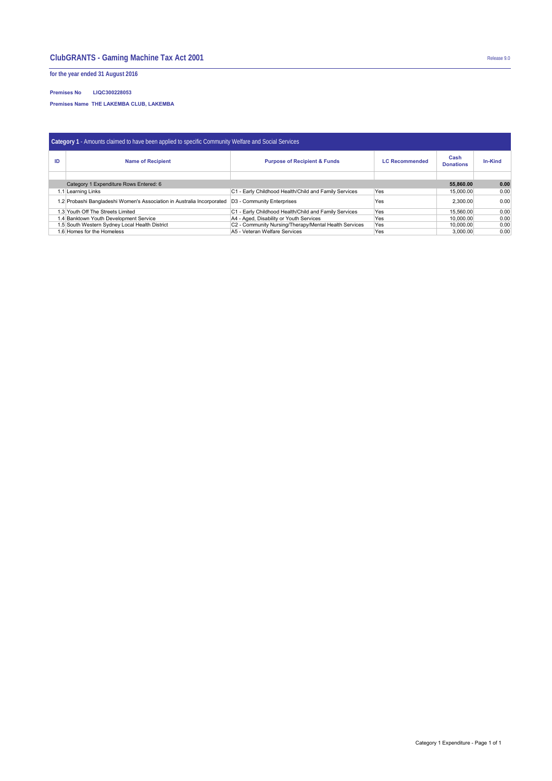## **ClubGRANTS - Gaming Machine Tax Act 2001** Release 9.0

**for the year ended 31 August 2016**

## **Premises No LIQC300228053**

**Premises Name THE LAKEMBA CLUB, LAKEMBA** 

| Category 1 - Amounts claimed to have been applied to specific Community Welfare and Social Services |                                                                                                     |                                                                  |     |                          |         |  |  |  |  |
|-----------------------------------------------------------------------------------------------------|-----------------------------------------------------------------------------------------------------|------------------------------------------------------------------|-----|--------------------------|---------|--|--|--|--|
| ID                                                                                                  | <b>Name of Recipient</b>                                                                            | <b>Purpose of Recipient &amp; Funds</b><br><b>LC Recommended</b> |     | Cash<br><b>Donations</b> | In-Kind |  |  |  |  |
|                                                                                                     |                                                                                                     |                                                                  |     |                          |         |  |  |  |  |
|                                                                                                     | 55.860.00                                                                                           | 0.00                                                             |     |                          |         |  |  |  |  |
|                                                                                                     | 1.1 Learning Links                                                                                  | C1 - Early Childhood Health/Child and Family Services            | Yes | 15,000,00                | 0.00    |  |  |  |  |
|                                                                                                     | 1.2 Probashi Bangladeshi Women's Association in Australia Incorporated   D3 - Community Enterprises |                                                                  | Yes | 2.300.00                 | 0.00    |  |  |  |  |
|                                                                                                     | 1.3 Youth Off The Streets Limited                                                                   | C1 - Early Childhood Health/Child and Family Services            | Yes | 15.560.00                | 0.00    |  |  |  |  |
|                                                                                                     | 1.4 Banktown Youth Development Service                                                              | A4 - Aged, Disability or Youth Services                          | Yes | 10.000.00                | 0.00    |  |  |  |  |
|                                                                                                     | 1.5 South Western Sydney Local Health District                                                      | C2 - Community Nursing/Therapy/Mental Health Services            | Yes | 10.000.00                | 0.00    |  |  |  |  |
| 1.6 Homes for the Homeless                                                                          |                                                                                                     | A5 - Veteran Welfare Services                                    | Yes | 3.000.00                 | 0.00    |  |  |  |  |